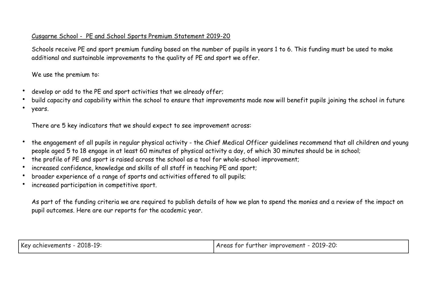## Cusgarne School - PE and School Sports Premium Statement 2019-20

Schools receive PE and sport premium funding based on the number of pupils in years 1 to 6. This funding must be used to make additional and sustainable improvements to the quality of PE and sport we offer.

We use the premium to:

- develop or add to the PE and sport activities that we already offer;
- build capacity and capability within the school to ensure that improvements made now will benefit pupils joining the school in future
- years.

There are 5 key indicators that we should expect to see improvement across:

- the engagement of all pupils in regular physical activity the Chief Medical Officer guidelines recommend that all children and young people aged 5 to 18 engage in at least 60 minutes of physical activity a day, of which 30 minutes should be in school;
- the profile of PE and sport is raised across the school as a tool for whole-school improvement;
- increased confidence, knowledge and skills of all staff in teaching PE and sport;
- broader experience of a range of sports and activities offered to all pupils;
- increased participation in competitive sport.

As part of the funding criteria we are required to publish details of how we plan to spend the monies and a review of the impact on pupil outcomes. Here are our reports for the academic year.

| Key achievements - 2018-19: | Areas for further improvement - 2019-20: |
|-----------------------------|------------------------------------------|
|                             |                                          |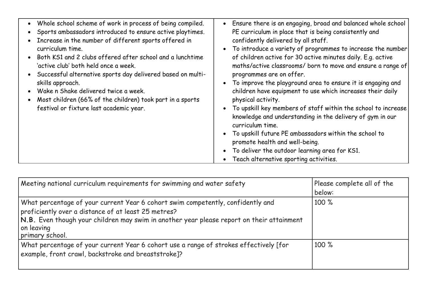| • Whole school scheme of work in process of being compiled.<br>• Sports ambassadors introduced to ensure active playtimes.<br>• Increase in the number of different sports offered in<br>curriculum time.<br>Both KS1 and 2 clubs offered after school and a lunchtime<br>'active club' both held once a week.<br>• Successful alternative sports day delivered based on multi-<br>skills approach.<br>• Wake n Shake delivered twice a week.<br>Most children (66% of the children) took part in a sports<br>festival or fixture last academic year. | Ensure there is an engaging, broad and balanced whole school<br>PE curriculum in place that is being consistently and<br>confidently delivered by all staff.<br>To introduce a variety of programmes to increase the number<br>of children active for 30 active minutes daily. E.g. active<br>maths/active classrooms/ born to move and ensure a range of<br>programmes are on offer.<br>To improve the playground area to ensure it is engaging and<br>children have equipment to use which increases their daily<br>physical activity.<br>To upskill key members of staff within the school to increase<br>knowledge and understanding in the delivery of gym in our<br>curriculum time.<br>To upskill future PE ambassadors within the school to<br>promote health and well-being.<br>To deliver the outdoor learning area for KS1.<br>Teach alternative sporting activities. |
|-------------------------------------------------------------------------------------------------------------------------------------------------------------------------------------------------------------------------------------------------------------------------------------------------------------------------------------------------------------------------------------------------------------------------------------------------------------------------------------------------------------------------------------------------------|----------------------------------------------------------------------------------------------------------------------------------------------------------------------------------------------------------------------------------------------------------------------------------------------------------------------------------------------------------------------------------------------------------------------------------------------------------------------------------------------------------------------------------------------------------------------------------------------------------------------------------------------------------------------------------------------------------------------------------------------------------------------------------------------------------------------------------------------------------------------------------|
|                                                                                                                                                                                                                                                                                                                                                                                                                                                                                                                                                       |                                                                                                                                                                                                                                                                                                                                                                                                                                                                                                                                                                                                                                                                                                                                                                                                                                                                                  |

| Meeting national curriculum requirements for swimming and water safety                                                                                                                                                                                               | Please complete all of the<br>below: |
|----------------------------------------------------------------------------------------------------------------------------------------------------------------------------------------------------------------------------------------------------------------------|--------------------------------------|
| What percentage of your current Year 6 cohort swim competently, confidently and<br>proficiently over a distance of at least 25 metres?<br>N.B. Even though your children may swim in another year please report on their attainment<br>on leaving<br>primary school. | 100 %                                |
| What percentage of your current Year 6 cohort use a range of strokes effectively [for<br>example, front crawl, backstroke and breaststroke]?                                                                                                                         | 100 %                                |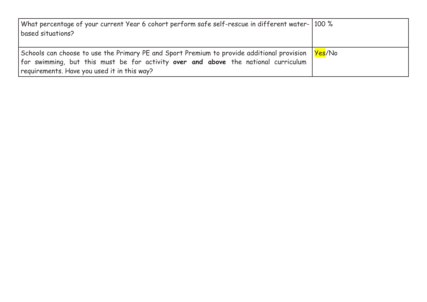| What percentage of your current Year 6 cohort perform safe self-rescue in different water- 100 %<br>  based situations?                                                                                                                                |  |
|--------------------------------------------------------------------------------------------------------------------------------------------------------------------------------------------------------------------------------------------------------|--|
| Schools can choose to use the Primary PE and Sport Premium to provide additional provision   <mark>Yes</mark> /No<br>for swimming, but this must be for activity over and above the national curriculum<br>requirements. Have you used it in this way? |  |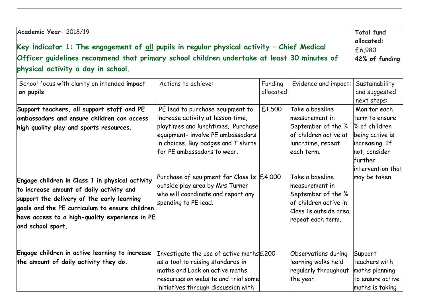| Academic Year: 2018/19                                                                                                                                                                                                                                                                                                                                                                                    |                                                                                                                                                                                                                                                                                                                                                                                 |                       |                                                                                                                                                                                                                                                        | <b>Total fund</b><br>allocated:                                                                                                                         |
|-----------------------------------------------------------------------------------------------------------------------------------------------------------------------------------------------------------------------------------------------------------------------------------------------------------------------------------------------------------------------------------------------------------|---------------------------------------------------------------------------------------------------------------------------------------------------------------------------------------------------------------------------------------------------------------------------------------------------------------------------------------------------------------------------------|-----------------------|--------------------------------------------------------------------------------------------------------------------------------------------------------------------------------------------------------------------------------------------------------|---------------------------------------------------------------------------------------------------------------------------------------------------------|
| Key indicator $1$ : The engagement of <u>all</u> pupils in regular physical activity - Chief Medical<br>£6,980<br>Officer guidelines recommend that primary school children undertake at least 30 minutes of<br>42% of funding                                                                                                                                                                            |                                                                                                                                                                                                                                                                                                                                                                                 |                       |                                                                                                                                                                                                                                                        |                                                                                                                                                         |
|                                                                                                                                                                                                                                                                                                                                                                                                           |                                                                                                                                                                                                                                                                                                                                                                                 |                       |                                                                                                                                                                                                                                                        |                                                                                                                                                         |
| School focus with clarity on intended impact<br>on pupils:                                                                                                                                                                                                                                                                                                                                                | Actions to achieve:                                                                                                                                                                                                                                                                                                                                                             | Funding<br>allocated: | Evidence and impact:                                                                                                                                                                                                                                   | Sustainability<br>and suggested<br>next steps:                                                                                                          |
| Support teachers, all support staff and PE<br>ambassadors and ensure children can access<br>high quality play and sports resources.<br>Engage children in Class 1 in physical activity<br>to increase amount of daily activity and<br>support the delivery of the early learning<br>goals and the PE curriculum to ensure children<br>have access to a high-quality experience in PE<br>and school sport. | PE lead to purchase equipment to<br>increase activity at lesson time,<br>playtimes and lunchtimes. Purchase<br>equipment- involve PE ambassadors<br>in choices. Buy badges and T shirts<br>for PE ambassadors to wear.<br>Purchase of equipment for Class 1s $\mathsf{E}4,000$<br>outside play area by Mrs Turner<br>who will coordinate and report any<br>spending to PE lead. | £1,500                | Take a baseline<br>measurement in<br>September of the %<br>of children active at<br>lunchtime, repeat<br>each term.<br>Take a baseline<br>measurement in<br>September of the %<br>of children active in<br>Class 1s outside area,<br>repeat each term. | Monitor each<br>term to ensure<br>% of children<br>being active is<br>increasing. If<br>not, consider<br>lfurther<br>intervention that<br>may be taken. |
| Engage children in active learning to increase<br>the amount of daily activity they do.                                                                                                                                                                                                                                                                                                                   | Investigate the use of active maths £200<br>as a tool to raising standards in<br>maths and Look on active maths<br>resources on website and trial some<br>initiatives through discussion with                                                                                                                                                                                   |                       | Observations during<br>learning walks held<br>regularly throughout<br>the year.                                                                                                                                                                        | Support<br>teachers with<br>maths planning<br>to ensure active<br>maths is taking                                                                       |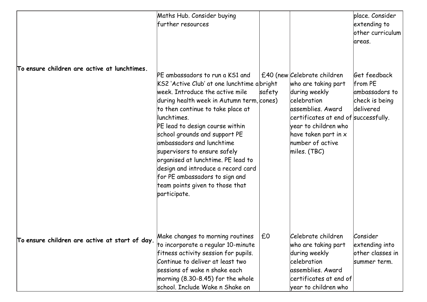|                                                | Maths Hub. Consider buying<br>further resources                                                                                                                                                                                                                                                                                                                                                                                                                                                                       |        |                                                                                                                                                                                                                                       | place, Consider<br>extending to<br>other curriculum<br>areas.             |
|------------------------------------------------|-----------------------------------------------------------------------------------------------------------------------------------------------------------------------------------------------------------------------------------------------------------------------------------------------------------------------------------------------------------------------------------------------------------------------------------------------------------------------------------------------------------------------|--------|---------------------------------------------------------------------------------------------------------------------------------------------------------------------------------------------------------------------------------------|---------------------------------------------------------------------------|
| To ensure children are active at lunchtimes.   | PE ambassadors to run a KS1 and<br>KS2 'Active Club' at one lunchtime a bright<br>week. Introduce the active mile<br>during health week in Autumn term, cones)<br>to then continue to take place at<br>lunchtimes.<br>PE lead to design course within<br>school grounds and support PE<br>lambassadors and lunchtime<br>supervisors to ensure safely<br>organised at lunchtime. PE lead to<br>design and introduce a record card<br>for PE ambassadors to sign and<br>team points given to those that<br>participate. | safety | £40 (new Celebrate children<br>who are taking part<br>during weekly<br>celebration<br>assemblies. Award<br>certificates at end of successfully.<br>year to children who<br>have taken part in $x$<br>humber of active<br>miles. (TBC) | Get feedback<br>from PE<br>ambassadors to<br>check is being<br>ldelivered |
| To ensure children are active at start of day. | Make changes to morning routines<br>to incorporate a regular 10-minute<br>fitness activity session for pupils.<br>Continue to deliver at least two<br>sessions of wake n shake each<br>morning $(8.30-8.45)$ for the whole<br>school. Include Wake n Shake on                                                                                                                                                                                                                                                         | £0     | Celebrate children<br>who are taking part<br>during weekly<br>celebration<br>assemblies. Award<br>certificates at end of<br>year to children who                                                                                      | Consider<br>extending into<br>other classes in<br>summer term.            |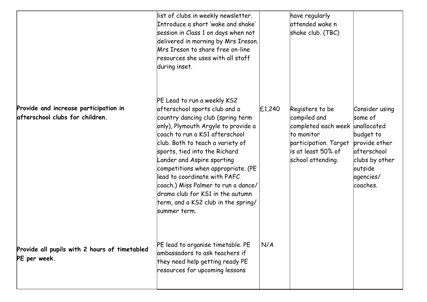|                                                                          | list of clubs in weekly newsletter.<br>Introduce a short 'wake and shake'<br>session in Class 1 on days when not<br>delivered in morning by Mrs Ireson.<br>Mrs Ireson to share free on-line<br>resources she uses with all staff<br>during inset.                                                                                                                                                                                                                                      |        | have regularly<br>attended wake n<br>shake club. (TBC)                                                                                                |                                                                                                                                        |
|--------------------------------------------------------------------------|----------------------------------------------------------------------------------------------------------------------------------------------------------------------------------------------------------------------------------------------------------------------------------------------------------------------------------------------------------------------------------------------------------------------------------------------------------------------------------------|--------|-------------------------------------------------------------------------------------------------------------------------------------------------------|----------------------------------------------------------------------------------------------------------------------------------------|
| Provide and increase participation in<br>afterschool clubs for children. | PE Lead to run a weekly KS2<br>afterschool sports club and a<br>country dancing club (spring term<br>only), Plymouth Argyle to provide a<br>coach to run a KS1 afterschool<br>club. Both to teach a variety of<br>sports, tied into the Richard<br>Lander and Aspire sporting<br>competitions when appropriate. (PE<br>lead to coordinate with PAFC<br>coach.) Miss Palmer to run a dance/<br>drama club for KS1 in the autumn<br>term, and a KS2 club in the spring/<br>lsummer term. | £1,240 | Registers to be<br>compiled and<br>completed each week unallocated<br>to monitor<br>participation. Target<br>lis at least 50% of<br>school attending. | Consider using<br>some of<br>budget to<br>provide other<br><b>lafterschool</b><br>clubs by other<br>loutside<br> agencies/<br>coaches. |
| Provide all pupils with 2 hours of timetabled<br>PE per week.            | PE lead to organise timetable. PE<br>ambassadors to ask teachers if<br>they need help getting ready PE<br>resources for upcoming lessons                                                                                                                                                                                                                                                                                                                                               | N/A    |                                                                                                                                                       |                                                                                                                                        |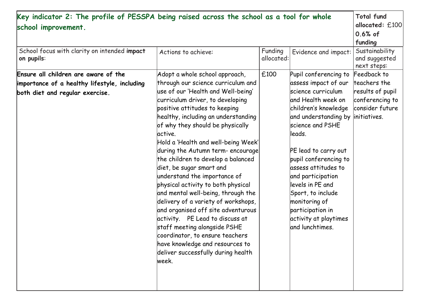| Key indicator 2: The profile of PESSPA being raised across the school as a tool for whole<br>school improvement.        |                                                                                                                                                                                                                                                                                                                                                                                                                                                                                                                                                                                                                                                                                                                                                                                                         |                       |                                                                                                                                                                                                                                                                                                                                                                                                               | <b>Total fund</b><br>allocated: £100<br>$0.6%$ of<br>funding                          |
|-------------------------------------------------------------------------------------------------------------------------|---------------------------------------------------------------------------------------------------------------------------------------------------------------------------------------------------------------------------------------------------------------------------------------------------------------------------------------------------------------------------------------------------------------------------------------------------------------------------------------------------------------------------------------------------------------------------------------------------------------------------------------------------------------------------------------------------------------------------------------------------------------------------------------------------------|-----------------------|---------------------------------------------------------------------------------------------------------------------------------------------------------------------------------------------------------------------------------------------------------------------------------------------------------------------------------------------------------------------------------------------------------------|---------------------------------------------------------------------------------------|
| School focus with clarity on intended impact<br>on pupils:                                                              | Actions to achieve:                                                                                                                                                                                                                                                                                                                                                                                                                                                                                                                                                                                                                                                                                                                                                                                     | Funding<br>allocated: | Evidence and impact:                                                                                                                                                                                                                                                                                                                                                                                          | Sustainability<br>and suggested<br>next steps:                                        |
| Ensure all children are aware of the<br>importance of a healthy lifestyle, including<br>both diet and regular exercise. | Adopt a whole school approach,<br>through our science curriculum and<br>use of our 'Health and Well-being'<br>curriculum driver, to developing<br>positive attitudes to keeping<br>healthy, including an understanding<br>of why they should be physically<br>active.<br>Hold a 'Health and well-being Week' <br>during the Autumn term- encourage <br>the children to develop a balanced<br>diet, be sugar smart and<br>understand the importance of<br>physical activity to both physical<br>and mental well-being, through the<br>delivery of a variety of workshops,<br>and organised off site adventurous<br>activity. PE Lead to discuss at<br>staff meeting alongside PSHE<br>coordinator, to ensure teachers<br>have knowledge and resources to<br>deliver successfully during health<br>lweek. | £100                  | Pupil conferencing to<br>assess impact of our<br>science curriculum<br>and Health week on<br>children's knowledge<br>and understanding by initiatives.<br>science and PSHE<br>lleads.<br>PE lead to carry out<br>pupil conferencing to<br>assess attitudes to<br>and participation<br>levels in PE and<br>Sport, to include<br>monitoring of<br>participation in<br>activity at playtimes<br>land lunchtimes. | Feedback to<br>teachers the<br>results of pupil<br>conferencing to<br>consider future |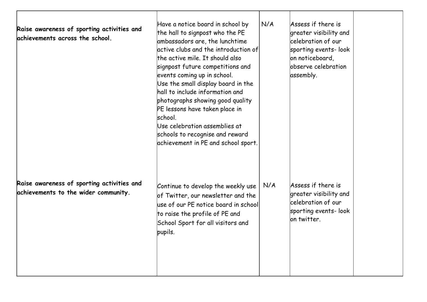| Raise awareness of sporting activities and<br>achievements across the school.      | Have a notice board in school by<br>the hall to signpost who the PE<br>ambassadors are, the lunchtime<br>active clubs and the introduction of<br>the active mile. It should also<br>signpost future competitions and<br>events coming up in school.<br>Use the small display board in the<br>hall to include information and<br>photographs showing good quality<br>PE lessons have taken place in<br>school.<br>Use celebration assemblies at<br>schools to recognise and reward<br>achievement in PE and school sport. | N/A | Assess if there is<br>greater visibility and<br>lcelebration of our<br>sporting events-look<br>on noticeboard,<br>bbserve celebration<br>assembly. |  |
|------------------------------------------------------------------------------------|--------------------------------------------------------------------------------------------------------------------------------------------------------------------------------------------------------------------------------------------------------------------------------------------------------------------------------------------------------------------------------------------------------------------------------------------------------------------------------------------------------------------------|-----|----------------------------------------------------------------------------------------------------------------------------------------------------|--|
| Raise awareness of sporting activities and<br>achievements to the wider community. | Continue to develop the weekly use<br>of Twitter, our newsletter and the<br>use of our PE notice board in school<br>to raise the profile of PE and<br>School Sport for all visitors and<br>pupils.                                                                                                                                                                                                                                                                                                                       | N/A | Assess if there is<br>greater visibility and<br>celebration of our<br>sporting events-look<br>on twitter.                                          |  |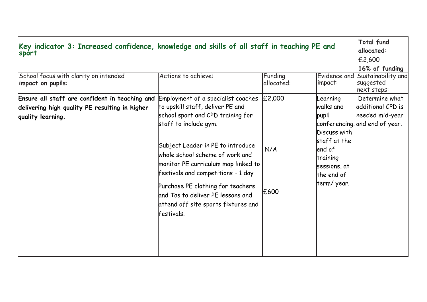| Key indicator 3: Increased confidence, knowledge and skills of all staff in teaching PE and<br>sport                  |                                                                                                                                                                                                                                                                                                                                                                                                                           |                       |                                                                                                                                   | <b>Total fund</b><br>allocated:<br>£2,600<br>16% of funding                              |
|-----------------------------------------------------------------------------------------------------------------------|---------------------------------------------------------------------------------------------------------------------------------------------------------------------------------------------------------------------------------------------------------------------------------------------------------------------------------------------------------------------------------------------------------------------------|-----------------------|-----------------------------------------------------------------------------------------------------------------------------------|------------------------------------------------------------------------------------------|
| School focus with clarity on intended<br>impact on pupils:                                                            | Actions to achieve:                                                                                                                                                                                                                                                                                                                                                                                                       | Funding<br>allocated: | Evidence and<br>impact:                                                                                                           | Sustainability and<br>suggested<br>next steps:                                           |
| Ensure all staff are confident in teaching and<br>delivering high quality PE resulting in higher<br>quality learning. | Employment of a specialist coaches<br>to upskill staff, deliver PE and<br>school sport and CPD training for<br>staff to include gym.<br>Subject Leader in PE to introduce<br>whole school scheme of work and<br>monitor PE curriculum map linked to<br>festivals and competitions - 1 day<br>Purchase PE clothing for teachers<br>and Tas to deliver PE lessons and<br>attend off site sports fixtures and<br>lfestivals. | £2,000<br>N/A<br>£600 | Learning<br>walks and<br>pupil<br>Discuss with<br>staff at the<br>lend of<br>training<br>sessions, at<br>the end of<br>term/year. | Determine what<br>additional CPD is<br>needed mid-year<br>conferencing. and end of year. |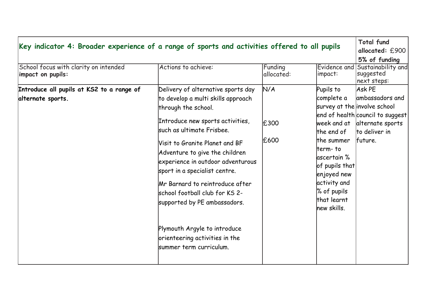| $ $ Key indicator 4: Broader experience of a range of sports and activities offered to all pupils<br>School focus with clarity on intended<br>impact on pupils: | Actions to achieve:                                                                                                                                                                                                                                                                                                                                                                                                                                                                                           | Funding<br>allocated: | Evidence and<br>impact:                                                                                                                                                                     | <b>Total fund</b><br>allocated: £900<br>5% of funding<br>Sustainability and<br>suggested                                                                                 |
|-----------------------------------------------------------------------------------------------------------------------------------------------------------------|---------------------------------------------------------------------------------------------------------------------------------------------------------------------------------------------------------------------------------------------------------------------------------------------------------------------------------------------------------------------------------------------------------------------------------------------------------------------------------------------------------------|-----------------------|---------------------------------------------------------------------------------------------------------------------------------------------------------------------------------------------|--------------------------------------------------------------------------------------------------------------------------------------------------------------------------|
| Introduce all pupils at KS2 to a range of<br>alternate sports.                                                                                                  | Delivery of alternative sports day<br>to develop a multi skills approach<br>through the school.<br>Introduce new sports activities,<br>lsuch as ultimate Frisbee.<br>Visit to Granite Planet and BF<br>Adventure to give the children<br>experience in outdoor adventurous<br>sport in a specialist centre.<br>Mr Barnard to reintroduce after<br>school football club for KS 2-<br>supported by PE ambassadors.<br>Plymouth Argyle to introduce<br>orienteering activities in the<br>summer term curriculum. | N/A<br>£300<br>£600   | Pupils to<br>complete a<br>the end of<br>lthe summer<br>lterm- to<br>lascertain %<br>of pupils that $\mid$<br>enjoyed new<br>activity and<br>$\%$ of pupils<br>lthat learnt<br>lnew skills. | next steps:<br>Ask PE<br>ambassadors and<br>survey at the involve school<br>end of health council to suggest<br>week and at alternate sports<br>to deliver in<br>future. |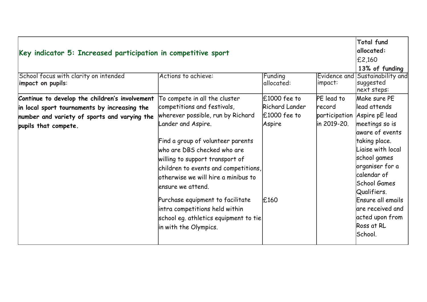| Key indicator 5: Increased participation in competitive sport<br>School focus with clarity on intended<br>Funding<br>Actions to achieve:<br>Evidence and<br>allocated:<br>impact:<br>impact on pupils: |                                                                                                                                                                                                                                                                                                                                                                                                                                                                             |                                                                      |                                     | <b>Total fund</b><br>allocated:<br>$E$ 2,160<br>13% of funding<br>Sustainability and<br>suggested<br>next steps:                                                                                                                                                                                              |
|--------------------------------------------------------------------------------------------------------------------------------------------------------------------------------------------------------|-----------------------------------------------------------------------------------------------------------------------------------------------------------------------------------------------------------------------------------------------------------------------------------------------------------------------------------------------------------------------------------------------------------------------------------------------------------------------------|----------------------------------------------------------------------|-------------------------------------|---------------------------------------------------------------------------------------------------------------------------------------------------------------------------------------------------------------------------------------------------------------------------------------------------------------|
| Continue to develop the children's involvement<br>in local sport tournaments by increasing the<br>number and variety of sports and varying the<br>pupils that compete.                                 | To compete in all the cluster<br>competitions and festivals,<br>wherever possible, run by Richard<br>Lander and Aspire.<br>Find a group of volunteer parents<br>who are DBS checked who are<br>willing to support transport of<br>children to events and competitions,<br>otherwise we will hire a minibus to<br>lensure we attend.<br>Purchase equipment to facilitate<br>intra competitions held within<br>school eg. athletics equipment to tie<br>in with the Olympics. | $E1000$ fee to<br>Richard Lander<br>$£1000$ fee to<br>Aspire<br>£160 | PE lead to<br>record<br>in 2019-20. | Make sure PE<br>lead attends<br>participation Aspire pE lead<br>meetings so is<br>aware of events<br>taking place.<br>Liaise with local<br>school games<br>organiser for a<br>calendar of<br>School Games<br>Qualifiers.<br>Ensure all emails<br>are received and<br>acted upon from<br>Ross at RL<br>School. |